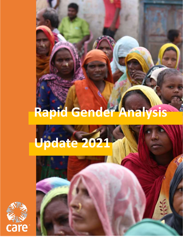# **Rapid Gender Analysis**

**Rapid Gender Analysis Update 2021**

## **Update** 2021 **Update 2021**



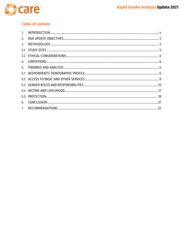

### **Table of content**

| 1 <sup>1</sup> |  |
|----------------|--|
| 2.             |  |
| 3.             |  |
|                |  |
|                |  |
|                |  |
| 5.             |  |
|                |  |
|                |  |
|                |  |
|                |  |
|                |  |
| 6.             |  |
| 7.             |  |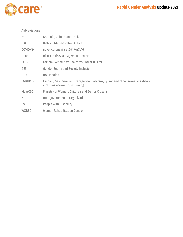

#### Abbreviations

| BCT          | Brahmin, Chhetri and Thakuri                                                                                        |
|--------------|---------------------------------------------------------------------------------------------------------------------|
| <b>DAO</b>   | <b>District Administration Office</b>                                                                               |
| COVID-19     | novel coronavirus (2019-nCoV)                                                                                       |
| <b>DCMC</b>  | District Crisis Management Centre                                                                                   |
| <b>FCHV</b>  | Female Community Health Volunteer (FCHV)                                                                            |
| GESI         | <b>Gender Equity and Society Inclusion</b>                                                                          |
| <b>HHs</b>   | Households                                                                                                          |
| LGBTIQ++     | Lesbian, Gay, Bisexual, Transgender, Intersex, Queer and other sexual identities<br>including asexual, questioning. |
| MoWCSC       | Ministry of Women, Children and Senior Citizens                                                                     |
| <b>NGO</b>   | Non-governmental Organization                                                                                       |
| PwD          | People with Disability                                                                                              |
| <b>WOREC</b> | <b>Women Rehabilitation Centre</b>                                                                                  |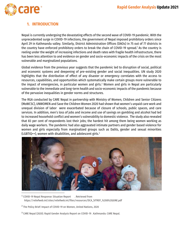

#### <span id="page-3-0"></span>**1. INTRODUCTION**

Nepal is currently undergoing the devastating effects of the second wave of COVID-19 pandemic. With the unprecedented surge in COVID-19 infections, the government of Nepal imposed prohibitory orders since April 29 in Kathmandu valley. Similarly, District Administration Offices (DAOs) in 75 out of 77 districts in the country have enforced prohibitory orders to break the chain of COVID-19 spread.<sup>1</sup> As the country is reeling under the weight of increasing infections and death rates with fragile health infrastructure, there has been less attention to and evidence on gender and socio-economic impacts of the crisis on the most vulnerable and marginalized populations.

Global evidence from the previous year suggests that the pandemic led to disruption of social, political and economic systems and deepening of pre-existing gender and social inequalities. UN study 2020 highlights that the distribution of effect of any disaster or emergency correlates with the access to resources, capabilities, and opportunities which systematically make certain groups more vulnerable to the impact of emergencies, in particular women and girls.<sup>2</sup> Women and girls in Nepal are particularly vulnerable to the immediate and long-term health and socio-economic impacts of the pandemic because of the pervasive inequalities in gender norms and structures.

The RGA conducted by CARE Nepal in partnership with Ministry of Women, Children and Senior Citizens (MoWCSC), UNWOMEN and Save the Children Women 2020 had shown that women's unpaid care work and unequal division of labor were exacerbated because of closure of schools, public spaces, and care services. In addition, men's loss of jobs and income and use of savings on gambling and alcohol had led to increased household conflict and women's vulnerability to domestic violence. The study also revealed that 83 per cent of respondents lost their jobs; the hardest hit among them being women working as daily wage workers. The pandemic had also aggravated intimate partners and gender based violence for women and girls especially from marginalized groups such as Dalits, gender and sexual minorities  $(LGBTIQ++)$ , women with disabilities, and adolescent girls.<sup>3</sup>



<sup>&</sup>lt;sup>1</sup> COVID-19 Nepal Response: Situation Report Aetrieved from [https://reliefweb.int/sites/reliefweb.int/files/resources/DCA\\_SITREP\\_%208%20JUNE.pdf](https://reliefweb.int/sites/reliefweb.int/files/resources/DCA_SITREP_%208%20JUNE.pdf)

<sup>&</sup>lt;sup>2</sup> The Policy Brief: Impact of COVID-19 on Women, United Nations, 2020

<sup>&</sup>lt;sup>3</sup> CARE Nepal (2020). Rapid Gender Analysis Report on COVID-19 . Kathmandu: CARE Nepal.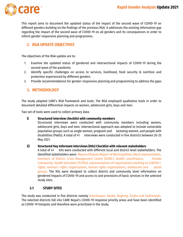

This report aims to document the updated status of the impact of the second wave of COVID-19 on different genders building on the findings of the previous RGA. It addresses the existing information gap regarding the impact of the second wave of COVID-19 on all genders and its consequences in order to inform gender responsive planning and programmes.

#### <span id="page-4-0"></span>**2. RGA UPDATE OBJECTIVES**

The objectives of the RGA update are to:

- 1. Examine the updated status of gendered and intersectional impacts of COVID-19 during the second wave of the pandemic
- 2. Identify specific challenges on access to services, livelihood, food security & nutrition and protection experienced by different genders
- <span id="page-4-1"></span>3. Provide recommendations for gender-responsive planning and programming to address the gaps

#### **3. METHODOLOGY**

The study adapted CARE's RGA framework and tools. The RGA employed qualitative tools in order to document detailed differential impacts on women, adolescent girls, boys and men.

Two set of tools were used to collect primary data:

#### **i) Structured interview checklist with community members**

Structured interviews were conducted with community members including women, adolescent girls, boys and men. Intersectional approach was adopted to include vulnerable population groups such as single women, pregnant and lactating women, and people with disabilities (PwDs). A total of 41 interviews were conducted in five districts between 20-25 May 2021.

#### **ii) Structured Key Informant Interviews (KIIs) Checklist with relevant stakeholders**

A total of 41 KIIs were conducted with different local and district level stakeholders. The identified stakeholders were- Mayors/Deputy Mayors of Municipalities, Ward representative, members of District Crisis Management Centre (DCMC), health coordinators, Female Community Health Volunteer (FCHVs), representatives of organizations working on LGBTIQ++ rights, women's rights organizations, human rights organizations, adolescent and youth groups. The KIIs were designed to collect district and community level information on gendered impacts of COVID-19 and access to and provisions of basic services in the selected study sites.

#### <span id="page-4-2"></span>**3.1 STUDY SITES**

The study was conducted in five districts namely Kanchanpur, Banke, Baglung, Siraha and Kathmandu. The selected districts fall into CARE Nepal's COVID-19 response priority areas and have been identified as COVID-19 hotspots and therefore were prioritized in the study.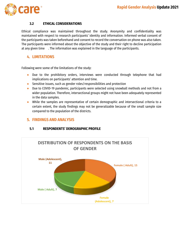

#### **3.2 ETHICAL CONSIDERATIONS**

<span id="page-5-0"></span>Ethical compliance was maintained throughout the study. Anonymity and confidentiality was maintained with respect to research participants' identity and information. Informed verbal consent of the participants was taken beforehand and consent to record the conversation on phone was also taken. The participants were informed about the objective of the study and their right to decline participation at any given time . The information was explained in the language of the participants.

#### <span id="page-5-1"></span>**4. LIMITATIONS**

Following were some of the limitations of the study:

- Due to the prohibitory orders, interviews were conducted through telephone that had implications on participants' attention and time.
- Sensitive issues, such as gender roles/responsibilities and protection
- Due to COVID-19 pandemic, participants were selected using snowball methods and not from a wider population. Therefore, intersectional groups might not have been adequately represented in the data samples.
- While the samples are representative of certain demographic and intersectional criteria to a certain extent, the study findings may not be generalizable because of the small sample size compared to the population of the districts.

#### <span id="page-5-3"></span><span id="page-5-2"></span>**5. FINDINGS AND ANALYSIS**

#### **5.1 RESPONDENTS' DEMOGRAPHIC PROFILE**

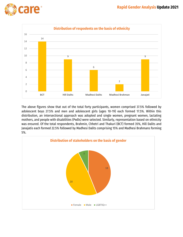



The above figures show that out of the total forty participants, women comprised 37.5% followed by adolescent boys 27.5% and men and adolescent girls (ages 10-19) each formed 17.5%. Within this distribution, an intersectional approach was adopted and single women, pregnant women, lactating mothers, and people with disabilities (PwDs) were selected. Similarly, representation based on ethnicity was ensured. Of the total respondents, Brahmin, Chhetri and Thakuri (BCT) formed 35%, Hill Dalits and Janajatis each formed 22.5% followed by Madhesi Dalits comprising 15% and Madhesi Brahmans forming 5%.

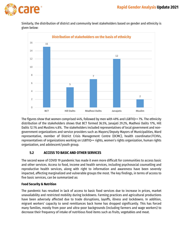

Similarly, the distribution of district and community level stakeholders based on gender and ethnicity is given below:



The figures show that women comprised 44%, followed by men with 49% and LGBTIQ++ 7%. The ethnicity distribution of the stakeholders shows that BCT formed 36.5%, Janajati 29.2%, Madhesi Dalits 17%, Hill Dalits 12.1% and Muslims 4.8%. The stakeholders included representatives of local government and nongovernment organizations and service providers such as Mayors/Deputy Mayors of Municipalities, Ward representative, member of District Crisis Management Centre (DCMC), health coordinator/FCHVs, representatives of organizations working on LGBTIQ++ rights, women's rights organization, human rights organization, and adolescent/youth group.

#### <span id="page-7-0"></span>**5.2 ACCESS TO BASIC AND OTHER SERVICES**

The second wave of COVID 19 pandemic has made it even more difficult for communities to access basic and other services. Access to food, income and health services, including psychosocial counselling and reproductive health services, along with right to information and awareness have been severely impacted, affecting marginalized and vulnerable groups the most. The key findings, in terms of access to five basic services, can be summarized as:

#### **Food Security & Nutrition**

The pandemic has resulted in lack of access to basic food services due to increase in prices, market unavailability and restricted mobility during lockdowns. Farming practices and agricultural productions have been adversely affected due to trade disruptions, layoffs, illness and lockdowns. In addition, migrant workers' capacity to send remittances back home has dropped significantly. This has forced many families, mostly from poor and ultra-poor backgrounds (including farmers and wage workers) to decrease their frequency of intake of nutritious food items such as fruits, vegetables and meat.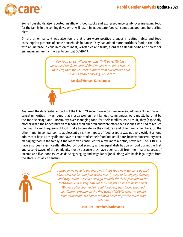

Some households also reported insufficient food stocks and expressed uncertainty over managing food for the family in the coming days, which will result in inadequate food consumption, poor and borderline diets.

On the other hand, it was also found that there were positive changes in eating habits and food consumption patterns of some households in Banke. They had added more nutritious food to their diet, with an increase in consumption of meat, vegetables and fruits, along with Nepali herbs and spices for enhancing immunity in order to combat COVID-19.

> Our food stock will last for only 10-15 days. We have decreased the frequency of food intake. If we don't have any food left, then we will seek support from our relatives but we don't know how long will it last

> > **Janajati Woman, Kanchanpur**

Analyzing the differential impacts of the COVID 19 second wave on men, women, adolescents, ethnic and sexual minorities, it was found that mostly women from Janajati communities were mostly hard hit by the food shortage and uncertainty over managing food for their families. As a result, they (especially mothers) had the added burden of feeding their children and were often the first ones who had to reduce the quantity and frequency of food intake to provide for their children and other family members. On the other hand, in comparison to adolescent girls, the impact of food scarcity was not very evident among adolescent boys as they did not have to compromise their food intake till date, however uncertainty over managing food in the family if the lockdown continued for a few more months, prevailed. The LGBTIQ++ have also been significantly affected by food scarcity and unequal distribution of food during the first and second waves of the pandemic, mostly because they have been cut off from their major sources of income and livelihood (such as dancing, singing and wage labor jobs), along with basic legal rights from the state such as citizenship.

> Although we need to eat more nutritious food now, we can't do that since we have lost our jobs which mostly used to be singing, dancing and wage labor. We can't even go to India for these jobs due to the lockdown. So it is very difficult for us to get access to basic needs. We were also deprived of relief food supplies during the food distribution program in the first wave of COVID, since we do not have citizenship, we had to lobby in order to get the relief food materials.

> > **LGBTIQ++ member, Kathmandu**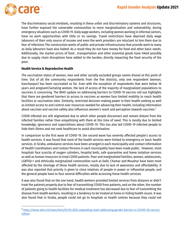

 $\overline{\phantom{a}}$ 

The discriminatory social mindsets, resulting in these unfair and discriminatory systems and structures, have further exposed the vulnerable communities to more marginalization and vulnerability, during emergency situations such as COVID 19. Daily wage workers, including women working in informal sectors, have no work opportunities with little or no savings. Travel restrictions have deprived daily wage labourers of their only source of income and even the work providers are reluctant to hire them due to fear of infections The construction works of public and private infrastructures that provide work to many as daily labourers have also halted. As a result they do not have money for food and other basic needs. Additionally, the market prices of food , transportation and other essential goods have hiked possibly due to supply chain disruptions have added to the burden, directly impacting the food security of the poor.

#### **Health Service & Reproductive Health**

The vaccination status of women, men and other socially excluded groups seems dismal at this point of time. Out of all the community respondents from the five districts, only one respondent (woman, Kanchanpur) has been vaccinated so far. Even with the exception of respondents that were below 18 years and pregnant/lactating women, the lack of access of the majority of marginalized populations to vaccines is concerning. The WHO update on addressing barriers to COVID-19 vaccine roll-out highlights that there are gendered barriers to access to vaccines as women face limited mobility to reach health facilities or vaccination sites. Similarly, restricted decision-making power in their health seeking as well as limited access to and control over resources needed for advancing their health, including information about vaccines and vaccine safety also influences women's reach and perception towards vaccines.<sup>4</sup>

COVID infected are still stigmatized due to which other people disconnect and remain distant from the infected families rather than empathizing with them at this time of need. This is mostly due to limited knowledge, ignorance and superstitions about COVID-19. This has also led COVID-19 infected people to hide their illness and not seek healthcare to avoid discrimination.

In comparison to the first wave of COVID-19, the second wave has severely affected people's access to health services. It was found that most of the health services were limited to emergency or basic health services. In Siraha, ambulance services have been arranged in each municipality and contact information of Health Coordinators and Contact Persons in each municipality have been made public. However, most hospitals face scarcity of oxygen cylinders, hospital beds, safe quarantine and home isolation services as well as human resources to treat COVID patients. Poor and marginalized families, women, adolescents, LGBTIQ++ and ethnically marginalized communities such as Dalit, Chamar and Musahar have been most affected by the shortage of these health services, mostly due to lack of awareness and affordability. It was also reported that priority is given to close relatives of people in power or influential people, and the general people have to face several difficulties while accessing these health services.

It was also found that on the one hand, health workers provided limited services from distance or didn't treat the patients properly due to fear of transmitting COVID from patients, and on the other, the number of patients going to health facilities for medical treatment has decreased due to fear of transmitting the disease from health workers, resulting in a tendency to be treated at home or hiding health issues. It was also found that in Siraha, people could not go to hospitals or health centres because they could not

<sup>4</sup> [https://www.who.int/news/item/03-05-2021-expanding-reach-addressing-gender-barriers-in-COVID-19-vaccine](https://www.who.int/news/item/03-05-2021-expanding-reach-addressing-gender-barriers-in-COVID-19-vaccine-rollout)[rollout](https://www.who.int/news/item/03-05-2021-expanding-reach-addressing-gender-barriers-in-COVID-19-vaccine-rollout)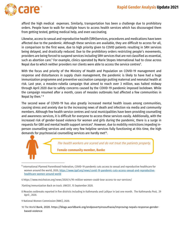

afford the high medical expenses. Similarly, transportation has been a challenge due to prohibitory orders. People have to walk for multiple hours to access health services which has discouraged them from getting tested, getting medical help, and even vaccinating.

Likewise, access to sexual and reproductive health (SRH)services, procedures and medications have been affected due to the pandemic. Although these services are available, they are difficult to access for all, in comparison to the first wave, due to high priority given to COVID patients resulting in SRH services being delayed, and drastically reduced. Due to the prohibitory orders restricting people's movements, providers are being forced to suspend services including SRH services that are not classified as essential, such as abortion care.<sup>5</sup> For example, clinics operated by Marie Stopes International had to close across Nepal due to which neither providers nor clients were able to access the service centres $\mathfrak{s}.$ 

With the focus and priority of the Ministry of Health and Population on COVID-19 management and response and disturbances in supply chain management, the pandemic is likely to have had a huge immunization programme and preventive vaccination campaign putting maternal and neonatal health at risk. Last year, a measles-rubella campaign that aimed to reach over 3 million, was halted midway through April 2020 due to safety concerns caused by the COVID-19 pandemic imposed lockdown. While the campaign resumed after a month, cases of measles outbreaks had affected a few communities in Nepal by then.<sup>78</sup>

The second wave of COVID-19 has also greatly increased mental health issues among communities, causing stress and anxiety due to the increasing news of death and infection via media and community members. Although few health service centres and rural municipalities have been providing counselling and awareness services, it is difficult for everyone to access these services easily. Additionally, with the increased risk of gender-based violence for women and girls during the pandemic, there is a surge in requests for GBV and mental health support services°. However, due to mobility restrictions impeding inperson counselling services and only very few helpline services fully functioning at this time, the high demands for psychosocial counselling services are hardly met $^{\scriptscriptstyle 10}$ .



 $\overline{\phantom{a}}$ 

The health workers are scared and do not treat the patients properly.

**Female community member, Banke**

7Getting Immunization Back on track. UNICEF, 15 September 2020.

- 8 Measles outbreaks reported in five districts including in Kathmandu and Lalitpur in last one month. The Kathmandu Post, 29 April , 2020.
- 9 National Women Commission (NWC), 2020.
- 10 The World Bank, 2020. https://blogs.worldbank.org/endpovertyinsouthasia/improving-nepals-response-genderbased-violence

<sup>&</sup>lt;sup>5</sup> International Planned Parenthood Federation, COVID-19 pandemic cuts access to sexual and reproductive healthcare for women around the world, 2020, [https://www.ippf.org/news/covid-19-pandemic-cuts-access-sexual-and-reproductive](https://www.ippf.org/news/covid-19-pandemic-cuts-access-sexual-and-reproductive-healthcare-women-around-world)[healthcare-women-around-world](https://www.ippf.org/news/covid-19-pandemic-cuts-access-sexual-and-reproductive-healthcare-women-around-world)

<sup>6</sup> https://www.msichoices.org/news/2020/4/95-million-women-could-lose-access-to-our-services/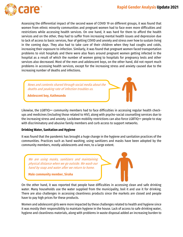

Assessing the differential impact of the second wave of COVID 19 on different groups, it was found that women from ethnic minority communities and pregnant women had to face even more difficulties and restrictions while accessing health services. On one hand, it was hard for them to afford the health services and on the other, they had to suffer from increasing mental health issues and depression due to lack of access to basic services, fear of getting COVID and anxiety and stress over how to sustain living in the coming days. They also had to take care of their children when they had coughs and colds, increasing their exposure to infection. Similarly, it was found that pregnant women faced transportation problems to visit hospitals and there were also fears around pregnant women getting infected in the hospital as a result of which the number of women going to hospitals for pregnancy tests and other services also decreased. Most of the men and adolescent boys, on the other hand, did not report much problems in accessing health services, except for the increasing stress and anxiety caused due to the increasing number of deaths and infections.

News and contents shared through social media about the deaths and peaking rate of infection troubles us.

**Adolescent boy, Kathmandu**

Likewise, the LGBTIQ++ community members had to face difficulties in accessing regular health checkups and medicines (including those related to HIV), along with psycho-social counselling services due to the increasing stress and anxiety. Lockdown mobility restrictions can also force LGBTIQ++ people to stay with discriminatory and abusive family members and curb access to support networks.

#### **Drinking Water, Sanitation and Hygiene**

It was found that the pandemic has brought a huge change in the hygiene and sanitation practices of the communities. Practices such as hand washing, using sanitizers and masks have been adopted by the community members, mostly adolescents and men, to a large extent.

We are using masks, sanitizers and maintaining physical distance when we go outside. We wash our hand by soap and water after we return to home.

**Male community member, Siraha**

On the other hand, it was reported that people have difficulties in accessing clean and safe drinking water. Many households use the water supplied from the municipality, boil it and use it for drinking. There are also challenges in accessing cleanliness products since the markets are closed and people have to pay high prices for these products.

Women and adolescent girls were more impacted by these challenges related to health and hygiene since it was mostly their responsibility to maintain hygiene in the house. Lack of access to safe drinking water, hygiene and cleanliness materials, along with problems in waste disposal added an increasing burden to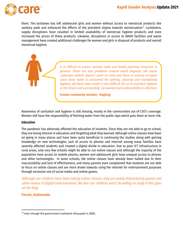

them. The lockdown has left adolescent girls and women without access to menstrual products like sanitary pads and enhanced the effects of the prevalent stigma towards menstruation<sup>11</sup>. Lockdowns, supply disruptions have resulted in limited availability of menstrual hygiene products and even increased the prices of these products. Likewise, disruptions in access to WASH facilities and waste management have created additional challenges for women and girls in disposal of products and overall menstrual hygiene.

> It is difficult to access sanitary pads and family planning measures in general. There are also problems around waste disposal; the waste collection vehicle doesn't come on time and there is scarcity of water since more water is consumed for bathing, cleaning and maintaining hygiene. All these have made it very difficult for us to maintain hygiene in the house and surrounding, increasing more vulnerability to infection.

**Female community member, Baglung**

Awareness of sanitation and hygiene is still missing, mostly in the communities out of CSO's coverage. Women still have the responsibility of fetching water from the public taps which puts them at more risk.

#### **Education**

The pandemic has adversely affected the education of students. Since they are not able to go to school, they are losing interest in education and forgetting what they learned. Although online classes have been on-going in many places and have been quite beneficial in continuing the studies along with gaining knowledge on new technologies, lack of access to phones and internet among many families have severely affected students and created a digital divide in education. Due to poor ICT infrastructure in rural areas, only very few schools might be able to run online classes and although the majority of the population have access to mobile phones, women and adolescent girls have unequal access to phones and other technologies. In some schools, the online classes have already been halted due to their inaccessibility and lack of effectiveness, and many parents even complained that students are not able to focus on online classes and are more drawn towards using the internet for entertainment purposes through excessive use of social media and online games.

Although our children have been taking online classes, they are easily distracted by games and other means of digital entertainment. We fear our children won't be willing to study if this goes on for long.

#### **Parent, Kathmandu**

 $\overline{\phantom{a}}$ 

 $11$  even though the government outlawed chhaupadi in 2005,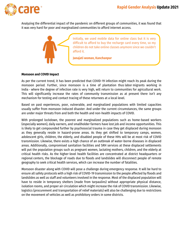

Analyzing the differential impact of the pandemic on different groups of communities, it was found that it was very hard for poor and marginalized communities to afford internet access.



#### **Monsoon and COVID Impact**

As per the current trend, it has been predicted that COVID-19 infection might reach its peak during the monsoon period. Further, since monsoon is a time of plantation thus labor migrants working in India - where the degree of infection rate is very high, will return to communities for agricultural work. This will significantly increase the rates of community transmission as at present there isn't any mechanism for testing and contact tracing of these returnees at a local level.

Based on past experiences, poor, vulnerable, and marginalized populations with limited capacities usually suffer from monsoon-induced disaster. And under the current circumstances, the same groups are under major threats from and both the health and non-health impacts of COVID.

With prolonged lockdown, the poorest and marginalized populations such as home-based workers (especially women), daily earners, and smallholder farmers have lost job and income opportunities. This is likely to get compounded further by psychosocial trauma in case they get displaced during monsoon as they generally reside in hazard-prone areas. As they get shifted to temporary camps, women, adolescent girls, children, the elderly, and disabled people of these HHs will be at most risk of COVID transmission. Likewise, there exists a high chance of an outbreak of water-borne diseases in displaced areas. Additionally, compromised sanitation facilities and SRH services at these displaced settlements will put the population groups such as pregnant women, lactating mothers, children, and the elderly at critical health risks. As the higher-level health facilities are concentrated at district headquarters or regional centers, the blockage of roads due to floods and landslides will disconnect people of remote geography to seek critical health services, which can increase the number of fatalities.

Monsoon disaster along with COVID will pose a challenge during emergency response. It will be hard to ensure all safety protocols with a high risk of COVID-19 transmission to the people affected by floods and landslides as well as staff and volunteers involved in the response. Most of the displaced population will have to reside in temporary shelters (made from tarpaulins) without appropriate physical distance, isolation rooms, and proper air circulation which might increase the risk of COVID transmission. Likewise, logistics (procurement and transportation of relief materials) will also be challenging due to restrictions on the movement of vehicles as well as prohibitory orders in some districts.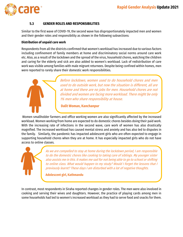

#### **5.3 GENDER ROLES AND RESPONSIBILITIES**

<span id="page-14-0"></span>Similar to the first wave of COVID-19, the second wave has disproportionately impacted men and women and their gender roles and responsibility as shown in the following subsections:

#### **Distribution of unpaid care work**

Respondents from all the districts confirmed that women's workload has increased due to various factors including confinement of family members at home and discriminatory social norms around care work etc. Also, as a result of the lockdown and the spread of the virus, household chores, watching the children and caring for the elderly and sick are also added to women's workload. Lack of redistribution of care work was visible among families with male migrant returnees. Despite being confined within homes, men were reported to rarely share their domestic work responsibilities.



Before lockdown, women used to do household chores and men used to do outside work, but now the situation is different, all are at home and there are no jobs for men. Household chores are not divided and women are facing more workload. There might be only 1% men who share responsibility at house.

#### **Dalit Woman, Kanchanpur**

Women smallholder farmers and office working women are also significantly affected by the increased workload. Women working from home are expected to do domestic chores besides doing their paid work. With the increasing rate of infections in the second wave, care work of women has also drastically magnified. The increased workload has caused mental stress and anxiety and has also led to disputes in the family. Similarly, the pandemic has impacted adolescent girls who are often expected to engage in supporting household chores when they are at home. It has especially impacted girls who do not have access to online classes.



As we are compelled to stay at home during the lockdown period, I am responsible to do the domestic chores like cooking to taking care of siblings. My younger sister also assists me in this. It makes me sad for not being able to go to school or shifting to online class. What would happen to my study? Would I forget the lessons that I previously learnt? These days I am disturbed with a lot of negative thoughts.

**Adolescent girl, Kathmandu**

In contrast, most respondents in Siraha reported changes in gender roles. The men were also involved in cooking and serving their wives and daughters. However, the practice of playing cards among men in some households had led to women's increased workload as they had to serve food and snacks for them.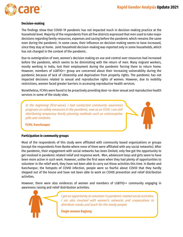

#### **Decision-making**

The findings show that COVID-19 pandemic has not impacted much in decision making practice at the household level. Majority of the respondents from all five districts expressed that men used to take major decisions regarding family resources, expenses and saving before the pandemic which remains the same even during the pandemic. In some cases, their influence on decision making seems to have increased, since they stay at home. Joint household decision-making was reported only in some households, which has not changed in the context of the pandemic.

Due to outmigration of men, women's decision making on use and control over resources had increased before the pandemic, which seems to be diminishing with the return of men. Many migrant workers, mostly working in India, lost their employment during the pandemic forcing them to return home. However, members of LGBTIQ++ group are concerned about their increasing vulnerability during the pandemic because of lack of citizenship and deprivation from property rights. The pandemic has not impacted decisions related to sexual and reproductive rights of women. However, due to mobility restrictions, women faced greater barriers in accessing reproductive health services.

Nonetheless, FCHVs were found to be proactively providing door-to-door sexual and reproductive health services in some of the study sites.

In the beginning (first-wave), I had conducted community awareness programs on safety measures in the pandemic, now as an FCHV, I am still distributing temporary family planning methods such as contraceptive pills and condoms.

**FCHV, Kanchanpur**

#### **Participation in community groups**

Most of the respondents of this study were affiliated with community based organizations or groups (except the respondents from Banke where none of them were affiliated with any social networks). After the pandemic, their engagement with social networks has been limited, only few got the opportunity to get involved in pandemic related relief and response work. Men, adolescent boys and girls seem to have been more active in such work. However, unlike the first wave when they had plenty of opportunities to volunteer in the relief work, they have not been able to carry out those activities this time. In Banke and Kanchanpur, the hotspots of COVID infection, people were so fearful about COVID that they hardly stepped out of the house and have not been able to work on COVID prevention and relief distribution activities.

However, there were also evidences of women and members of LGBTIQ++ community engaging in awareness raising and relief distribution activities.



I got an opportunity to volunteer in pandemic related social activities. I am also involved with women's networks and cooperatives to distribute masks and lunch for the needy people.

**Single woman Baglung**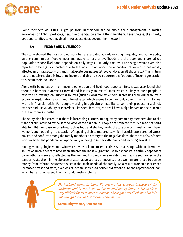

Some members of LGBTIQ++ groups from Kathmandu shared about their engagement in raising awareness on COVID protocols, health and sanitation among their members. Nevertheless, they hardly got opportunities to get involved in social activities beyond their network.

#### <span id="page-16-0"></span>**5.4 INCOME AND LIVELIHOOD**

The study showed that loss of paid work has exacerbated already existing inequality and vulnerability among communities. People most vulnerable to loss of livelihoods are the poor and marginalized population whose livelihood depends on daily wages. Similarly, the PwDs and single women are also reported to be highly impacted due to the loss of paid work. The imposition of lockdown has mostly affected informal sector work and small-scale businesses (street vendors, small shops, etc.). This, in turn, has ultimately resulted in low or no income and also no new opportunities/options of income generation to sustain their livelihood.

Along with being cut off from income generation and livelihood opportunities, it was also found that there are barriers in access to formal and less risky source of loans, which is likely to push people to resort to borrowing from informal sources (such as local money lenders) increasing their vulnerability to economic exploitation, exorbitant interest rates, which seems to be their only coping mechanism to deal with this financial crisis. For people working in agriculture, inability to sell their produce in a timely manner and unavailability of materials (like seed, fertilizer, etc.) will have a high impact on their income over the coming months.

The study also indicated that there is increasing distress among many community members due to the financial crisis caused by the second wave of the pandemic. People are bothered mostly due to not being able to fulfil their basic necessities, such as food and shelter, due to the loss of work (most of them being women), and not being in a situation of repaying their loans/credits, which has ultimately created stress, anxiety and conflicts among the family members. Contrary to the negative sides, there are a few of them who consider this pandemic an opportunity of being together with family and learning new skills.

Among women, single women who were involved in micro-enterprises such as shops with no alternative source of income seem to have been affected the most. Migrant households that were entirely dependent on remittance were also affected as the migrant husbands were unable to earn and send money in the pandemic situation. In the absence of alternative sources of income, these women are forced to borrow money from informal sources to sustain the basic needs of the family. As a result, women experienced increased stress and worry over loss of income, increased household expenditure and repayment of loan, which had also increased the risks of domestic violence.



My husband works in India. His income has stopped because of the lockdown and he has been unable to send money home. It has made it very difficult for us to meet our needs. I have got a small job now but it is not enough for us to last for the whole month.

**Community woman, Kanchanpur**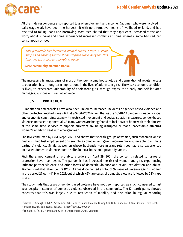

 $\overline{\phantom{a}}$ 

All the male respondents also reported loss of employment and income. Dalit men who were involved in daily wage work have been the hardest hit with no alternative means of livelihood or land, and had resorted to taking loans and borrowing. Most men shared that they experience increased stress and worry about survival and some experienced increased conflicts at home whereas, some had reduced consumption of food

This pandemic has increased mental stress. I have a small shop as an earning source. It has stopped since last year. This financial crisis causes quarrels at home.

**Male community member, Banke**

The increasing financial crisis of most of the low-income households and deprivation of regular access to education has long-term implications in the lives of adolescent girls. The weak economic condition is likely to exacerbate vulnerability of adolescent girls, through exposure to early and self-initiated marriages, suicides and sexual violence.

#### <span id="page-17-0"></span>**5.5 PROTECTION**

Humanitarian emergencies have also been linked to increased incidents of gender based violence and other protection related issues. Mittal & Singh (2020) claim that as the COVID-19 pandemic deepens social and economic constraints along with restricted movement and social isolation measures, gender-based violence increases exponentially.<sup>12</sup> Many women are being forced to lockdown at home with their abusers at the same time services to support survivors are being disrupted or made inaccessible affecting women's ability to deal with emergencies.<sup>13</sup>

The RGA conducted by CARE Nepal 2020 had shown that specific groups of women, such as women whose husbands had lost employment or were into alcoholism and gambling were more vulnerable to intimate partners' violence. Similarly, women whose husbands were migrant returnees had also experienced increased domestic violence due to shifts in intra-household power dynamics.

With the announcement of prohibitory orders on April 29, 2021, the concerns related to issues of protection have risen again. The pandemic has increased the risk of women and girls experiencing intimate partner violence and other forms of domestic violence and sexual exploitation and abuse. Women's Rehabilitation Centre (WOREC) has documented a total of 97 cases of violence against women in the period 29 April-14 May 2021, out of which, 42% are cases of domestic violence followed by 28% rape cases.

The study finds that cases of gender based violence have not been reported as much compared to last year despite instances of domestic violence observed in the community. The KII participants showed concerns that this was largely due to restriction of mobility and disruption in regular reporting

<sup>12</sup> Mittal, S., & Singh, T. (2020, September 08). Gender-Based Violence During COVID-19 Pandemic: A Mini-Review. Front. Glob. Women's Health. doi:https://doi.org/10.3389/fgwh.2020.00004

<sup>13</sup> Nielsen, M. (2018). Women and Girls in Emergencies . CARE Denmark .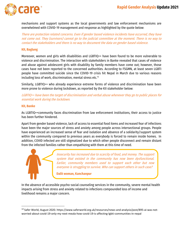

mechanisms and support systems as the local governments and law enforcement mechanisms are overwhelmed with COVID-19 management and response as highlighted by the quote below:

There are protection related concerns. Even if gender based violence incidents have occurred, they have not come out. They (survivors) cannot go to the judicial committee at the moment. There is no way to contact the stakeholders and there is no way to document the data on gender based violence.

#### **KII, Baglung**

Moreover, women and girls with disabilities and LGBTIQ++ have been found to be more vulnerable to violence and discrimination. The interaction with stakeholders in Banke revealed that cases of violence and abuse against adolescent girls with disability by family members have come out; however, those cases have not been reported to the concerned authorities. According to FSGMN, at least seven LGBTI people have committed suicide since the COVID-19 crisis hit Nepal in March due to various reasons including loss of work, discrimination, mental stress etc. $^{\scriptscriptstyle 14}$ 

Similarly, LGBTIQ++ who already experience extreme forms of violence and discrimination have been more prone to violence during lockdown, as reported by the KII stakeholder below:

LGBTIQ++ have been the target of discrimination and verbal abuse whenever they go to public places for essential work during the lockdown.

#### **KII, Banke**

As LGBTIQ++community faces discrimination from law enforcement institutions, their access to justice has been further hindered.

Apart from gender based violence, lack of access to essential food items and increased fear of infections have been the major sources of stress and anxiety among people across intersectional groups. People have experienced an increased sense of fear and isolation and absence of a solidarity/support system within the community compared to previous years as everybody is forced to remain inside homes. In addition, COVID infected are still stigmatized due to which other people disconnect and remain distant from the infected families rather than empathizing with them at this time of need.



 $\overline{\phantom{a}}$ 

Insecurity has increased due to scarcity of food, and money. The support system that existed in the community has now been dysfunctional. Earlier, community members used to support each other but now everyone is struggling to survive. Who can support others in such case?

**Dalit woman, Kanchanpur** 

In the absence of accessible psycho-social counseling services in the community, severe mental health impacts arising from stress and anxiety related to infections compounded loss of income and livelihood remains a major concern.

<sup>14</sup> Safer World, August 2020. https://www.saferworld.org.uk/resources/news-and-analysis/post/895-ai-was-notworried-about-covid-19-only-my-next-meala-how-covid-19-is-affecting-lgbti-communities-in-nepal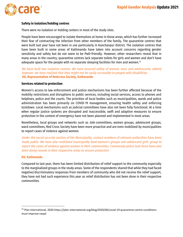

#### **Safety in isolation/holding centres**

There were no isolation or holding centers in most of the study sites.

People have been encouraged to isolate themselves at home in those areas, which has further increased their fear of contracting the infection from other members of the family. The quarantine centres that were built last year have not been in use particularly in Kanchanpur district. The isolation centres that have been built in some areas of Kathmandu have taken into account concerns regarding gender sensitivity and safety but do not seem to be PwD-friendly. However, other researchers reveal that in many areas in the country, quarantine centres lack separate toilets for girls and women and don't have adequate space for the people with no separate sleeping facilities for men and women.<sup>15</sup>

We have built two isolation centres. We have ensured safety of women, men, and adolescents, elderly however, we have realized that they might not be easily accessible to people with disabilities . **KII, Representative of Redcross Society, Kathmandu** 

#### **Services related to protection**

Women's access to law enforcement and justice mechanisms has been further affected because of the mobility restrictions and disruptions to public services, including social services, access to phones and helplines, police and the courts. The priorities of local bodies such as municipalities, wards and police administration has been primarily on COVID-19 management, ensuring health safety and enforcing lockdown. Local mechanisms such as judicial committees have also not been fully functional. At a time when regular justice systems are disrupted and inaccessible, swift and adaptive measures to ensure protection in the context of emergency have not been planned and implemented in most areas.

Nonetheless, local groups and networks such as *tole* committees, women groups, adolescent groups, ward committees, Red Cross Society have been more proactive and are even mobilized by municipalities to report cases of violence against women.

Under the social security section of the Municipality, contact numbers of relevant authorities have been made public. We have also mobilized municipality level women's groups and adolescent girls' group to report the cases of violence against women in their communities. Community police task force have also been doing rounds in their respective areas to ensure protection

#### **KII, Kathmandu**

 $\overline{\phantom{a}}$ 

Compared to last year, there has been limited distribution of relief support to the community especially to the marginalized groups in the study areas. Some of the respondents shared that while they had faced negative/discriminatory responses from members of community who did not receive the relief support, they have not had such experience this year as relief distribution has not been done in their respective communities.

<sup>15</sup> Plan International, 2020.https://plan-international.org/blog/2020/06/covid-19-quarantine-centre-conditionsmust-improve-nepal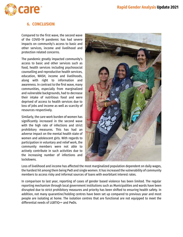

#### <span id="page-20-0"></span>**6. CONCLUSION**

Compared to the first wave, the second wave of the COVID-19 pandemic has had severe impacts on community's access to basic and other services, income and livelihood and protection related concerns.

The pandemic greatly impacted community's access to basic and other services such as food, health services including psychosocial counselling and reproductive health services, education, WASH, income and livelihoods, along with right to information and awareness. In contrast to the first wave, many communities, especially from marginalized and vulnerable backgrounds, had to decrease their intake of nutritious food and were deprived of access to health services due to loss of jobs and income as well as scarcity of resources respectively.

Similarly, the care work burden of women has significantly increased in the second wave with the high rate of infections and strict prohibitory measures. This has had an adverse impact on the mental health state of women and adolescent girls. With regards to participation in voluntary and relief work, the community members were not able to actively contribute in such activities due to the increasing number of infections and lockdowns.



Loss of livelihood and income has affected the most marginalized population dependent on daily wages, the hardest hit among them being PwD and single women. It has increased the vulnerability of community members to access risky and informal sources of loans with exorbitant interest rates.

In comparison to last year, reporting of cases of gender based violence has been limited. The regular reporting mechanism through local government institutions such as Municipalities and wards have been disrupted due to strict prohibitory measures and priority has been shifted to ensuring health safety. In addition, not many quarantine/holding centres have been set up compared to previous year and most people are isolating at home. The isolation centres that are functional are not equipped to meet the differential needs of LGBTIQ++ and PwDs.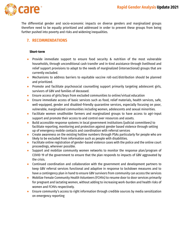

The differential gender and socio-economic impacts on diverse genders and marginalized groups therefore need to be equally prioritized and addressed in order to prevent these groups from being further pushed into poverty and risks and widening inequalities.

#### <span id="page-21-0"></span>**7. RECOMMENDATIONS**

#### **Short-term**

- Provide immediate support to ensure food security & nutrition of the most vulnerable households, through unconditional cash transfer and in-kind assistance through livelihood and relief support provisions to adapt to the needs of marginalized (intersectional) groups that are currently excluded.
- Mechanisms to address barriers to equitable vaccine roll-out/distribution should be planned and prioritized.
- Promote and facilitate psychosocial counselling support primarily targeting adolescent girls, survivors of GBV and families of deceased.
- Ensure access of girls/boys from excluded communities to online/virtual education
- Ensure immediate access of basic services such as food, relief materials, health services, safe, well-equipped, gender and disabled-friendly quarantine services, especially focusing on poor, vulnerable, marginalized communities including women, adolescents and sexual minorities.
- Facilitate women smallholder farmers and marginalized groups to have access to agri-input support and promote their access to and control over resources and assets.
- Build accessible response systems in local government institutions (judicial committees) to facilitate reporting, monitoring and protection against gender based violence through setting up of emergency mobile contacts and coordination with referral services
- Create awareness on the existing hotline numbers through PSAs particularly for people who are likely to be excluded from information such as people with disabilities.
- Facilitate online registration of gender-based violence cases with the police and the online court proceedings, wherever possible.
- Support and mobilize community women networks to monitor the response plan/program of COVID 19 of the government to ensure that the plan responds to impacts of GBV aggravated by the crisis.
- Continued coordination and collaboration with the government and development partners to keep GBV referral services functional and adaptive in response to lockdown measures and to have a contingency plan in hand to ensure GBV survivors from community can access the services
- Mobilize Female Community Health Volunteers (FCHVs) to resume door to door services primarily for pregnant and lactating women, without adding to increasing work-burden and health risks of women and FCHVs respectively.
- Ensure community's access to right information through credible sources by media sensitization on emergency reporting